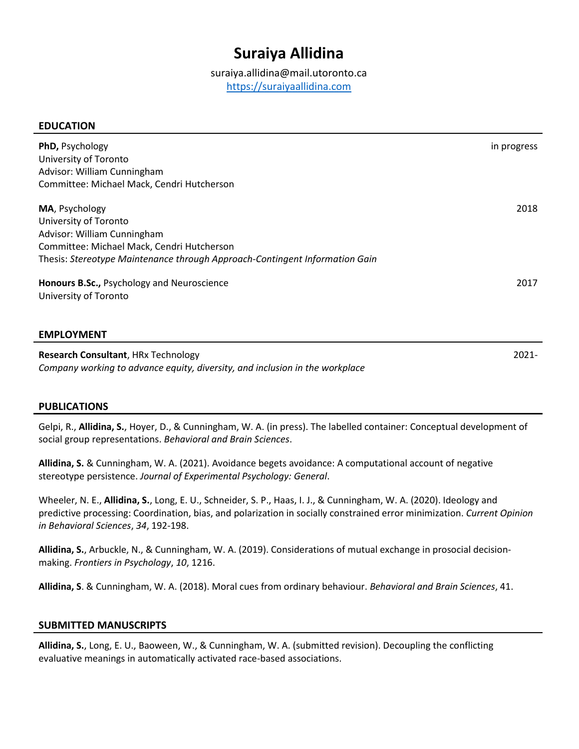# **Suraiya Allidina**

suraiya.allidina@mail.utoronto.ca [https://suraiyaallidina.com](https://suraiyaallidina.com/)

## **EDUCATION**

| PhD, Psychology<br>University of Toronto<br>Advisor: William Cunningham<br>Committee: Michael Mack, Cendri Hutcherson                                                                               | in progress |
|-----------------------------------------------------------------------------------------------------------------------------------------------------------------------------------------------------|-------------|
| MA, Psychology<br>University of Toronto<br>Advisor: William Cunningham<br>Committee: Michael Mack, Cendri Hutcherson<br>Thesis: Stereotype Maintenance through Approach-Contingent Information Gain | 2018        |
| Honours B.Sc., Psychology and Neuroscience<br>University of Toronto                                                                                                                                 | 2017        |
| <b>EMPLOYMENT</b>                                                                                                                                                                                   |             |

**Research Consultant**, HRx Technology *Company working to advance equity, diversity, and inclusion in the workplace* 2021-

## **PUBLICATIONS**

Gelpi, R., **Allidina, S.**, Hoyer, D., & Cunningham, W. A. (in press). The labelled container: Conceptual development of social group representations. *Behavioral and Brain Sciences*.

**Allidina, S.** & Cunningham, W. A. (2021). Avoidance begets avoidance: A computational account of negative stereotype persistence. *Journal of Experimental Psychology: General*.

Wheeler, N. E., **Allidina, S.**, Long, E. U., Schneider, S. P., Haas, I. J., & Cunningham, W. A. (2020). Ideology and predictive processing: Coordination, bias, and polarization in socially constrained error minimization. *Current Opinion in Behavioral Sciences*, *34*, 192-198.

**Allidina, S.**, Arbuckle, N., & Cunningham, W. A. (2019). Considerations of mutual exchange in prosocial decisionmaking. *Frontiers in Psychology*, *10*, 1216.

**Allidina, S**. & Cunningham, W. A. (2018). Moral cues from ordinary behaviour. *Behavioral and Brain Sciences*, 41.

## **SUBMITTED MANUSCRIPTS**

**Allidina, S.**, Long, E. U., Baoween, W., & Cunningham, W. A. (submitted revision). Decoupling the conflicting evaluative meanings in automatically activated race-based associations.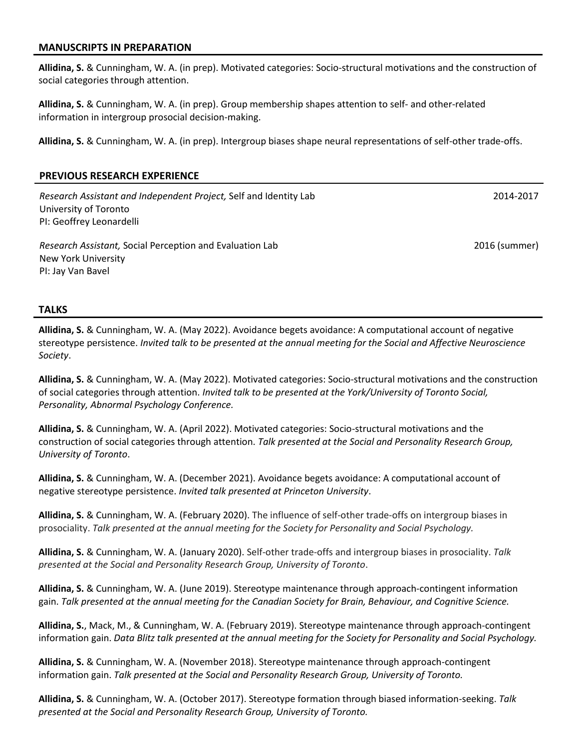#### **MANUSCRIPTS IN PREPARATION**

**Allidina, S.** & Cunningham, W. A. (in prep). Motivated categories: Socio-structural motivations and the construction of social categories through attention.

**Allidina, S.** & Cunningham, W. A. (in prep). Group membership shapes attention to self- and other-related information in intergroup prosocial decision-making.

**Allidina, S.** & Cunningham, W. A. (in prep). Intergroup biases shape neural representations of self-other trade-offs.

## **PREVIOUS RESEARCH EXPERIENCE**

*Research Assistant and Independent Project,* Self and Identity Lab University of Toronto PI: Geoffrey Leonardelli

*Research Assistant,* Social Perception and Evaluation Lab New York University PI: Jay Van Bavel

2016 (summer)

2014-2017

#### **TALKS**

**Allidina, S.** & Cunningham, W. A. (May 2022). Avoidance begets avoidance: A computational account of negative stereotype persistence. *Invited talk to be presented at the annual meeting for the Social and Affective Neuroscience Society*.

**Allidina, S.** & Cunningham, W. A. (May 2022). Motivated categories: Socio-structural motivations and the construction of social categories through attention. *Invited talk to be presented at the York/University of Toronto Social, Personality, Abnormal Psychology Conference.*

**Allidina, S.** & Cunningham, W. A. (April 2022). Motivated categories: Socio-structural motivations and the construction of social categories through attention. *Talk presented at the Social and Personality Research Group, University of Toronto*.

**Allidina, S.** & Cunningham, W. A. (December 2021). Avoidance begets avoidance: A computational account of negative stereotype persistence. *Invited talk presented at Princeton University*.

**Allidina, S.** & Cunningham, W. A. (February 2020). The influence of self-other trade-offs on intergroup biases in prosociality. *Talk presented at the annual meeting for the Society for Personality and Social Psychology.*

**Allidina, S.** & Cunningham, W. A. (January 2020). Self-other trade-offs and intergroup biases in prosociality. *Talk presented at the Social and Personality Research Group, University of Toronto*.

**Allidina, S.** & Cunningham, W. A. (June 2019). Stereotype maintenance through approach-contingent information gain. *Talk presented at the annual meeting for the Canadian Society for Brain, Behaviour, and Cognitive Science.*

**Allidina, S.**, Mack, M., & Cunningham, W. A. (February 2019). Stereotype maintenance through approach-contingent information gain. *Data Blitz talk presented at the annual meeting for the Society for Personality and Social Psychology.*

**Allidina, S.** & Cunningham, W. A. (November 2018). Stereotype maintenance through approach-contingent information gain. *Talk presented at the Social and Personality Research Group, University of Toronto.*

**Allidina, S.** & Cunningham, W. A. (October 2017). Stereotype formation through biased information-seeking. *Talk presented at the Social and Personality Research Group, University of Toronto.*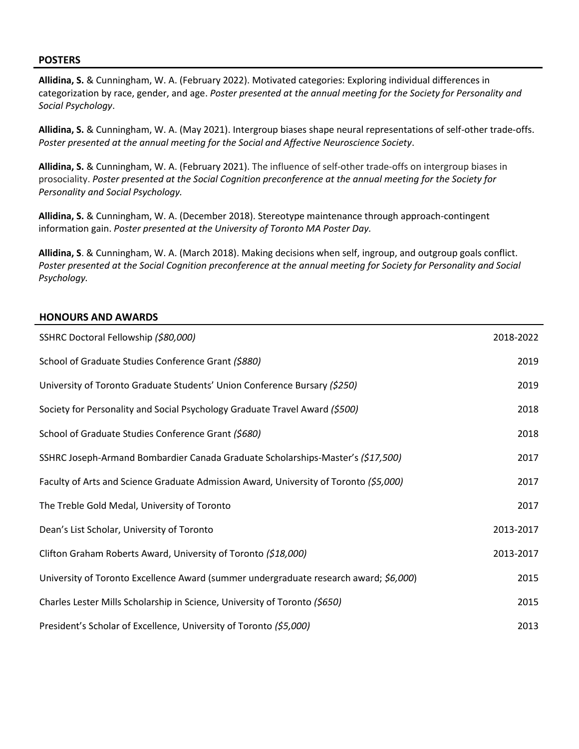#### **POSTERS**

**Allidina, S.** & Cunningham, W. A. (February 2022). Motivated categories: Exploring individual differences in categorization by race, gender, and age. *Poster presented at the annual meeting for the Society for Personality and Social Psychology*.

**Allidina, S.** & Cunningham, W. A. (May 2021). Intergroup biases shape neural representations of self-other trade-offs. *Poster presented at the annual meeting for the Social and Affective Neuroscience Society*.

**Allidina, S.** & Cunningham, W. A. (February 2021). The influence of self-other trade-offs on intergroup biases in prosociality. *Poster presented at the Social Cognition preconference at the annual meeting for the Society for Personality and Social Psychology.*

**Allidina, S.** & Cunningham, W. A. (December 2018). Stereotype maintenance through approach-contingent information gain. *Poster presented at the University of Toronto MA Poster Day.*

**Allidina, S**. & Cunningham, W. A. (March 2018). Making decisions when self, ingroup, and outgroup goals conflict. *Poster presented at the Social Cognition preconference at the annual meeting for Society for Personality and Social Psychology.*

## **HONOURS AND AWARDS**

| SSHRC Doctoral Fellowship (\$80,000)                                                  | 2018-2022 |
|---------------------------------------------------------------------------------------|-----------|
| School of Graduate Studies Conference Grant (\$880)                                   | 2019      |
| University of Toronto Graduate Students' Union Conference Bursary (\$250)             | 2019      |
| Society for Personality and Social Psychology Graduate Travel Award (\$500)           | 2018      |
| School of Graduate Studies Conference Grant (\$680)                                   | 2018      |
| SSHRC Joseph-Armand Bombardier Canada Graduate Scholarships-Master's (\$17,500)       | 2017      |
| Faculty of Arts and Science Graduate Admission Award, University of Toronto (\$5,000) | 2017      |
| The Treble Gold Medal, University of Toronto                                          | 2017      |
| Dean's List Scholar, University of Toronto                                            | 2013-2017 |
| Clifton Graham Roberts Award, University of Toronto (\$18,000)                        | 2013-2017 |
| University of Toronto Excellence Award (summer undergraduate research award; \$6,000) | 2015      |
| Charles Lester Mills Scholarship in Science, University of Toronto (\$650)            | 2015      |
| President's Scholar of Excellence, University of Toronto (\$5,000)                    | 2013      |